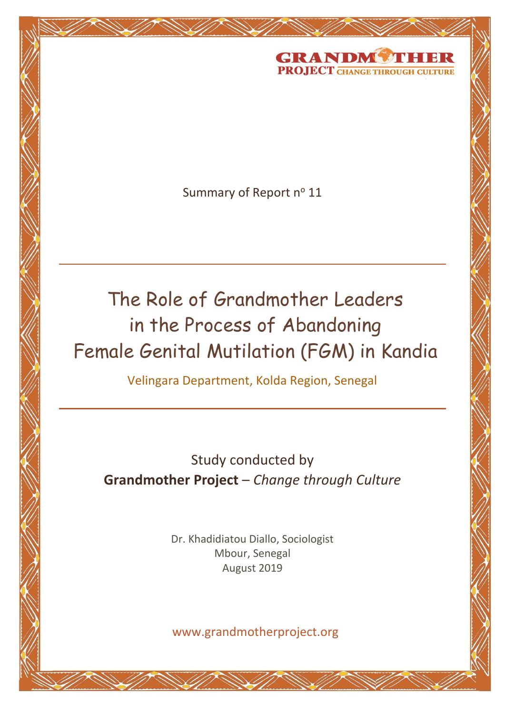

Summary of Report nº 11

<u>Grammond Change the Chan</u>

The Role of Grandmother Leaders in the Process of Abandoning Female Genital Mutilation (FGM) in Kandia

Velingara Department, Kolda Region, Senegal

Study conducted by **Grandmother Project** – *Change through Culture*

> Dr. Khadidiatou Diallo, Sociologist Mbour, Senegal August 2019

www.grandmotherproject.org

 $\overline{a}$ 

*The Role of Grandmother Leaders in the Process of Abandoning Female Genital Mutilation (Doc. 47-S-2029)*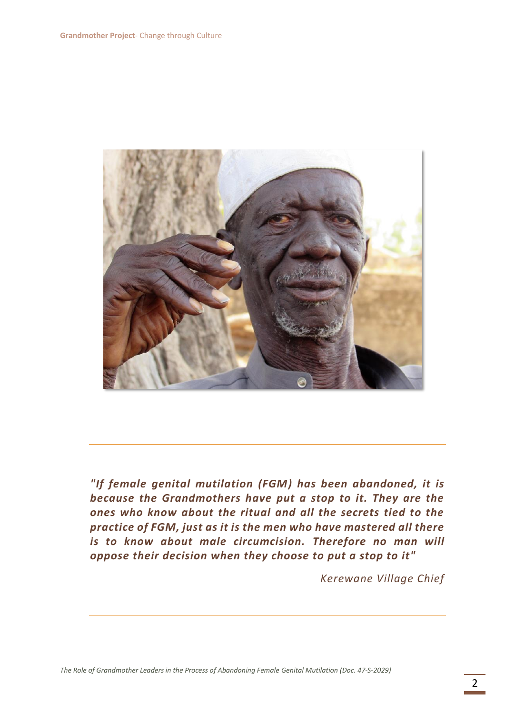

*"If female genital mutilation (FGM) has been abandoned, it is because the Grandmothers have put a stop to it. They are the ones who know about the ritual and all the secrets tied to the practice of FGM, just as it is the men who have mastered all there is to know about male circumcision. Therefore no man will oppose their decision when they choose to put a stop to it"*

*Kerewane Village Chief*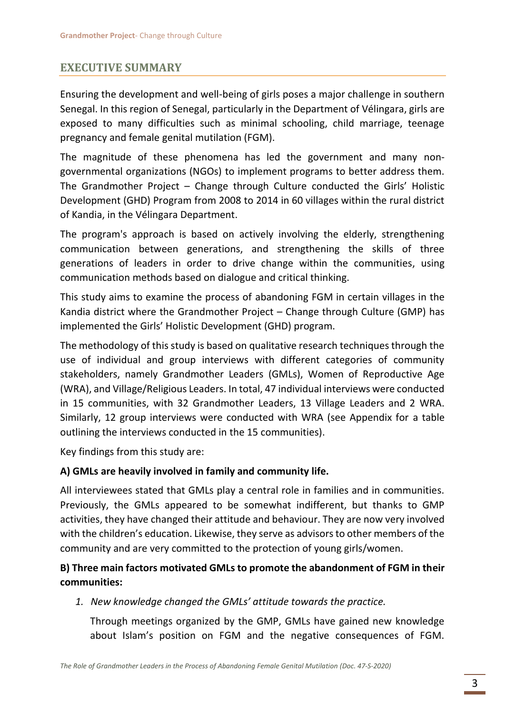# **EXECUTIVE SUMMARY**

Ensuring the development and well-being of girls poses a major challenge in southern Senegal. In this region of Senegal, particularly in the Department of Vélingara, girls are exposed to many difficulties such as minimal schooling, child marriage, teenage pregnancy and female genital mutilation (FGM).

The magnitude of these phenomena has led the government and many nongovernmental organizations (NGOs) to implement programs to better address them. The Grandmother Project – Change through Culture conducted the Girls' Holistic Development (GHD) Program from 2008 to 2014 in 60 villages within the rural district of Kandia, in the Vélingara Department.

The program's approach is based on actively involving the elderly, strengthening communication between generations, and strengthening the skills of three generations of leaders in order to drive change within the communities, using communication methods based on dialogue and critical thinking.

This study aims to examine the process of abandoning FGM in certain villages in the Kandia district where the Grandmother Project – Change through Culture (GMP) has implemented the Girls' Holistic Development (GHD) program.

The methodology of this study is based on qualitative research techniques through the use of individual and group interviews with different categories of community stakeholders, namely Grandmother Leaders (GMLs), Women of Reproductive Age (WRA), and Village/Religious Leaders. In total, 47 individual interviews were conducted in 15 communities, with 32 Grandmother Leaders, 13 Village Leaders and 2 WRA. Similarly, 12 group interviews were conducted with WRA (see Appendix for a table outlining the interviews conducted in the 15 communities).

Key findings from this study are:

## **A) GMLs are heavily involved in family and community life.**

All interviewees stated that GMLs play a central role in families and in communities. Previously, the GMLs appeared to be somewhat indifferent, but thanks to GMP activities, they have changed their attitude and behaviour. They are now very involved with the children's education. Likewise, they serve as advisors to other members of the community and are very committed to the protection of young girls/women.

# **B) Three main factors motivated GMLs to promote the abandonment of FGM in their communities:**

*1. New knowledge changed the GMLs' attitude towards the practice.*

Through meetings organized by the GMP, GMLs have gained new knowledge about Islam's position on FGM and the negative consequences of FGM.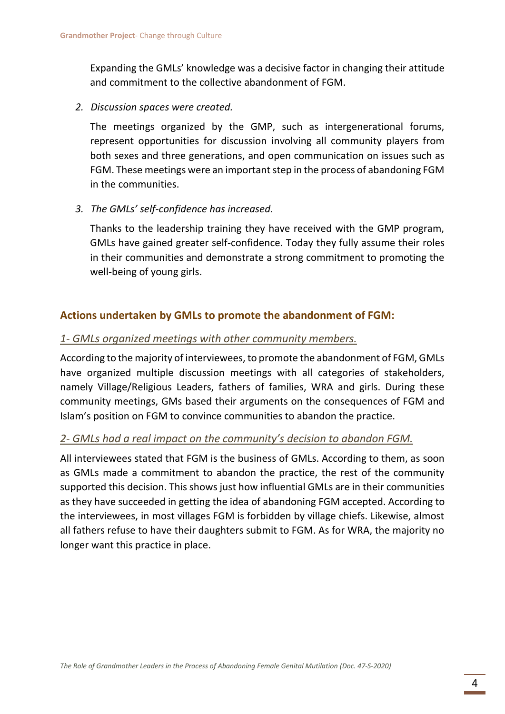Expanding the GMLs' knowledge was a decisive factor in changing their attitude and commitment to the collective abandonment of FGM.

*2. Discussion spaces were created.*

The meetings organized by the GMP, such as intergenerational forums, represent opportunities for discussion involving all community players from both sexes and three generations, and open communication on issues such as FGM. These meetings were an important step in the process of abandoning FGM in the communities.

*3. The GMLs' self-confidence has increased.*

Thanks to the leadership training they have received with the GMP program, GMLs have gained greater self-confidence. Today they fully assume their roles in their communities and demonstrate a strong commitment to promoting the well-being of young girls.

## **Actions undertaken by GMLs to promote the abandonment of FGM:**

#### *1- GMLs organized meetings with other community members.*

According to the majority of interviewees, to promote the abandonment of FGM, GMLs have organized multiple discussion meetings with all categories of stakeholders, namely Village/Religious Leaders, fathers of families, WRA and girls. During these community meetings, GMs based their arguments on the consequences of FGM and Islam's position on FGM to convince communities to abandon the practice.

### *2- GMLs had a real impact on the community's decision to abandon FGM.*

All interviewees stated that FGM is the business of GMLs. According to them, as soon as GMLs made a commitment to abandon the practice, the rest of the community supported this decision. This shows just how influential GMLs are in their communities as they have succeeded in getting the idea of abandoning FGM accepted. According to the interviewees, in most villages FGM is forbidden by village chiefs. Likewise, almost all fathers refuse to have their daughters submit to FGM. As for WRA, the majority no longer want this practice in place.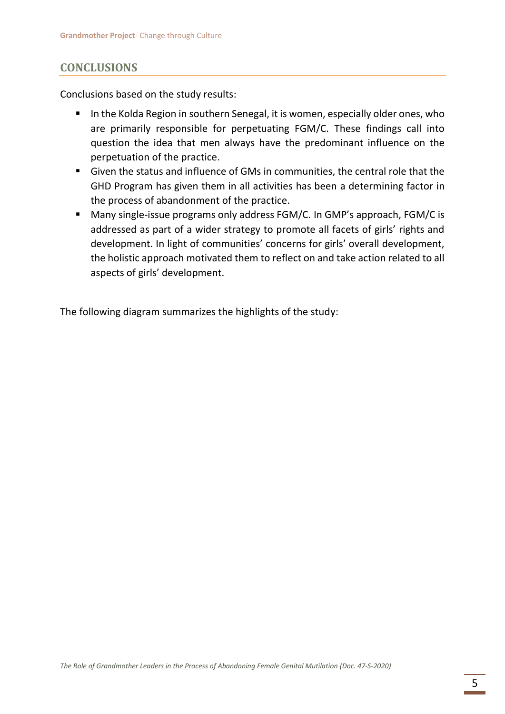# **CONCLUSIONS**

Conclusions based on the study results:

- In the Kolda Region in southern Senegal, it is women, especially older ones, who are primarily responsible for perpetuating FGM/C. These findings call into question the idea that men always have the predominant influence on the perpetuation of the practice.
- Given the status and influence of GMs in communities, the central role that the GHD Program has given them in all activities has been a determining factor in the process of abandonment of the practice.
- Many single-issue programs only address FGM/C. In GMP's approach, FGM/C is addressed as part of a wider strategy to promote all facets of girls' rights and development. In light of communities' concerns for girls' overall development, the holistic approach motivated them to reflect on and take action related to all aspects of girls' development.

The following diagram summarizes the highlights of the study: